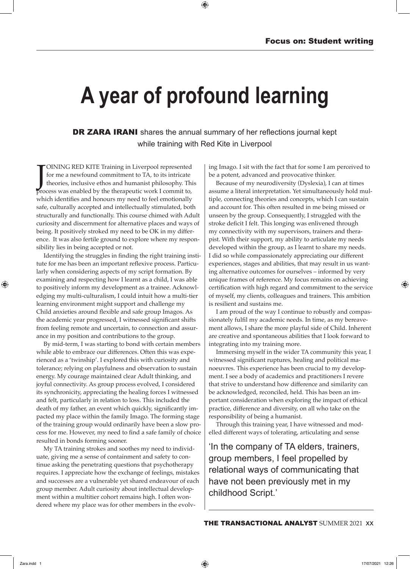# **A year of profound learning**

⊕

**DR ZARA IRANI** shares the annual summary of her reflections journal kept while training with Red Kite in Liverpool

JOINING RED KITE Training in Liverpool represented<br>for me a newfound commitment to TA, to its intricate<br>theories, inclusive ethos and humanist philosophy. This<br>process was enabled by the therapeutic work I commit to, OINING RED KITE Training in Liverpool represented for me a newfound commitment to TA, to its intricate theories, inclusive ethos and humanist philosophy. This which identifies and honours my need to feel emotionally safe, culturally accepted and intellectually stimulated, both structurally and functionally. This course chimed with Adult curiosity and discernment for alternative places and ways of being. It positively stroked my need to be OK in my difference. It was also fertile ground to explore where my responsibility lies in being accepted or not.

Identifying the struggles in finding the right training institute for me has been an important reflexive process. Particularly when considering aspects of my script formation. By examining and respecting how I learnt as a child, I was able to positively inform my development as a trainee. Acknowledging my multi-culturalism, I could intuit how a multi-tier learning environment might support and challenge my Child anxieties around flexible and safe group Imagos. As the academic year progressed, I witnessed significant shifts from feeling remote and uncertain, to connection and assurance in my position and contributions to the group.

By mid-term, I was starting to bond with certain members while able to embrace our differences. Often this was experienced as a 'twinship'. I explored this with curiosity and tolerance; relying on playfulness and observation to sustain energy. My courage maintained clear Adult thinking, and joyful connectivity. As group process evolved, I considered its synchronicity, appreciating the healing forces I witnessed and felt, particularly in relation to loss. This included the death of my father, an event which quickly, significantly impacted my place within the family Imago. The forming stage of the training group would ordinarily have been a slow process for me. However, my need to find a safe family of choice resulted in bonds forming sooner.

My TA training strokes and soothes my need to individuate, giving me a sense of containment and safety to continue asking the penetrating questions that psychotherapy requires. I appreciate how the exchange of feelings, mistakes and successes are a vulnerable yet shared endeavour of each group member. Adult curiosity about intellectual development within a multitier cohort remains high. I often wondered where my place was for other members in the evolv-

ing Imago. I sit with the fact that for some I am perceived to be a potent, advanced and provocative thinker.

Because of my neurodiversity (Dyslexia), I can at times assume a literal interpretation. Yet simultaneously hold multiple, connecting theories and concepts, which I can sustain and account for. This often resulted in me being missed or unseen by the group. Consequently, I struggled with the stroke deficit I felt. This longing was enlivened through my connectivity with my supervisors, trainers and therapist. With their support, my ability to articulate my needs developed within the group, as I learnt to share my needs. I did so while compassionately appreciating our different experiences, stages and abilities, that may result in us wanting alternative outcomes for ourselves – informed by very unique frames of reference. My focus remains on achieving certification with high regard and commitment to the service of myself, my clients, colleagues and trainers. This ambition is resilient and sustains me.

I am proud of the way I continue to robustly and compassionately fulfil my academic needs. In time, as my bereavement allows, I share the more playful side of Child. Inherent are creative and spontaneous abilities that I look forward to integrating into my training more.

Immersing myself in the wider TA community this year, I witnessed significant ruptures, healing and political manoeuvres. This experience has been crucial to my development. I see a body of academics and practitioners I revere that strive to understand how difference and similarity can be acknowledged, reconciled, held. This has been an important consideration when exploring the impact of ethical practice, difference and diversity, on all who take on the responsibility of being a humanist.

Through this training year, I have witnessed and modelled different ways of tolerating, articulating and sense

'In the company of TA elders, trainers, group members, I feel propelled by relational ways of communicating that have not been previously met in my childhood Script.'

**THE TRANSACTIONAL ANALYST SUMMER 2021 XX** 

⊕

⊕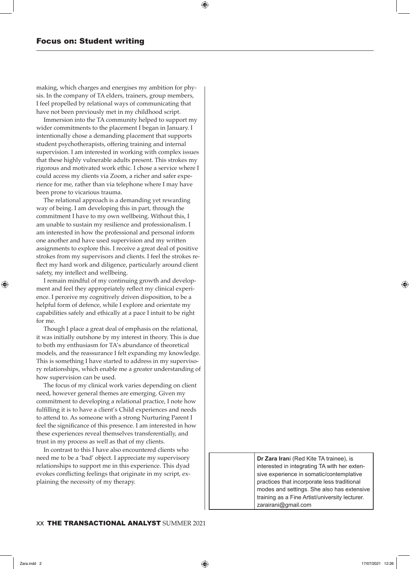making, which charges and energises my ambition for physis. In the company of TA elders, trainers, group members, I feel propelled by relational ways of communicating that have not been previously met in my childhood script.

⊕

Immersion into the TA community helped to support my wider commitments to the placement I began in January. I intentionally chose a demanding placement that supports student psychotherapists, offering training and internal supervision. I am interested in working with complex issues that these highly vulnerable adults present. This strokes my rigorous and motivated work ethic. I chose a service where I could access my clients via Zoom, a richer and safer experience for me, rather than via telephone where I may have been prone to vicarious trauma.

The relational approach is a demanding yet rewarding way of being. I am developing this in part, through the commitment I have to my own wellbeing. Without this, I am unable to sustain my resilience and professionalism. I am interested in how the professional and personal inform one another and have used supervision and my written assignments to explore this. I receive a great deal of positive strokes from my supervisors and clients. I feel the strokes reflect my hard work and diligence, particularly around client safety, my intellect and wellbeing.

I remain mindful of my continuing growth and development and feel they appropriately reflect my clinical experience. I perceive my cognitively driven disposition, to be a helpful form of defence, while I explore and orientate my capabilities safely and ethically at a pace I intuit to be right for me.

Though I place a great deal of emphasis on the relational, it was initially outshone by my interest in theory. This is due to both my enthusiasm for TA's abundance of theoretical models, and the reassurance I felt expanding my knowledge. This is something I have started to address in my supervisory relationships, which enable me a greater understanding of how supervision can be used.

The focus of my clinical work varies depending on client need, however general themes are emerging. Given my commitment to developing a relational practice, I note how fulfilling it is to have a client's Child experiences and needs to attend to. As someone with a strong Nurturing Parent I feel the significance of this presence. I am interested in how these experiences reveal themselves transferentially, and trust in my process as well as that of my clients.

In contrast to this I have also encountered clients who need me to be a 'bad' object. I appreciate my supervisory relationships to support me in this experience. This dyad evokes conflicting feelings that originate in my script, explaining the necessity of my therapy.

**Dr Zara Iran**i (Red Kite TA trainee), is interested in integrating TA with her extensive experience in somatic/contemplative practices that incorporate less traditional modes and settings. She also has extensive training as a Fine Artist/university lecturer. zarairani@gmail.com

#### xx THE TRANSACTIONAL ANALYST SUMMER 2021

⊕

Zara.indd 2 17/07/2021 12:26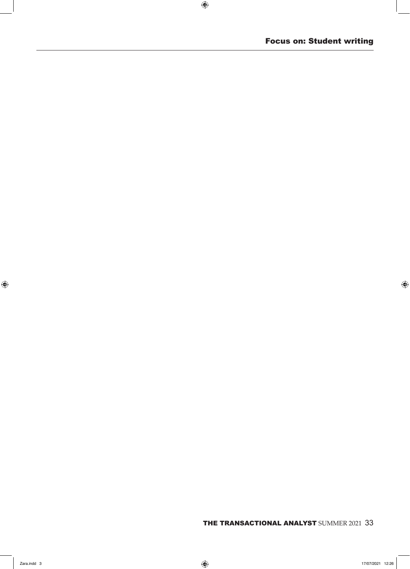### THE TRANSACTIONAL ANALYST SUMMER 2021 33

 $\bigoplus$ 

 $\bigoplus$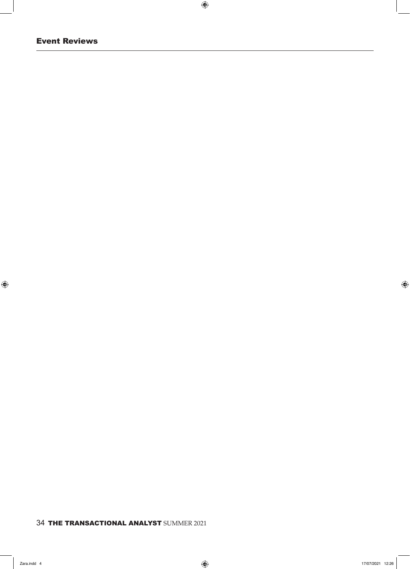# 34 THE TRANSACTIONAL ANALYST SUMMER 2021

 $\bigoplus$ 

 $\bigoplus$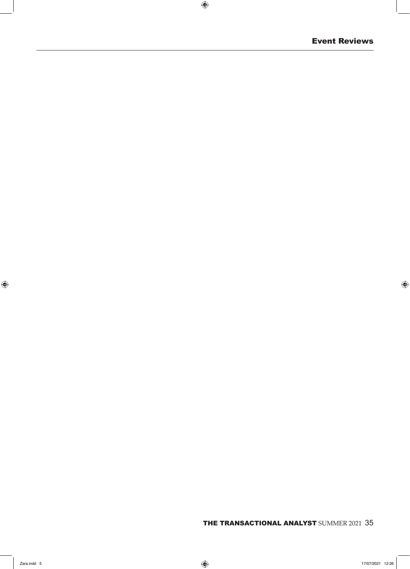### THE TRANSACTIONAL ANALYST SUMMER 2021 35

 $\bigoplus$ 

 $\bigoplus$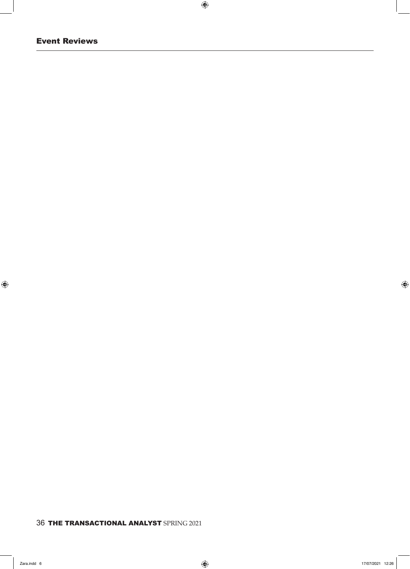#### 36 THE TRANSACTIONAL ANALYST SPRING 2021

 $\bigoplus$ 

 $\bigoplus$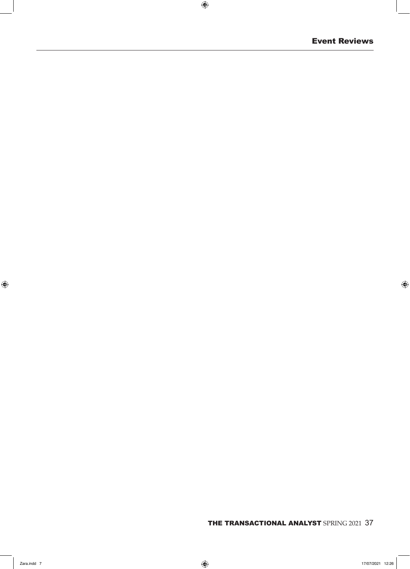### THE TRANSACTIONAL ANALYST SPRING 2021 37

 $\bigoplus$ 

 $\bigoplus$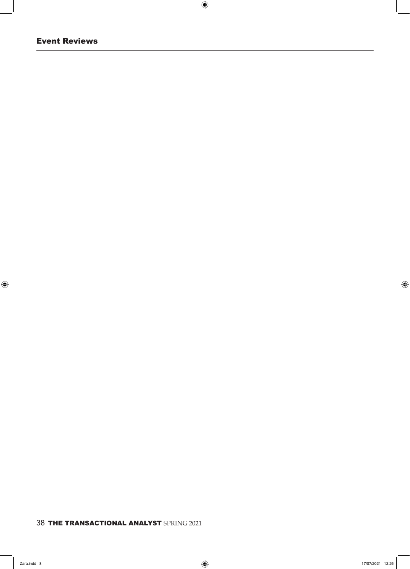#### 38 THE TRANSACTIONAL ANALYST SPRING 2021

 $\bigoplus$ 

 $\bigoplus$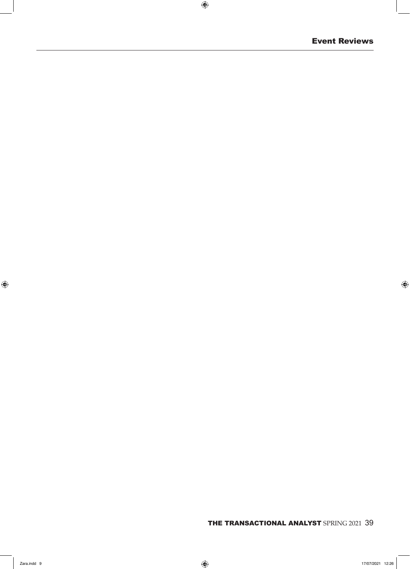### THE TRANSACTIONAL ANALYST SPRING 2021 39

 $\bigoplus$ 

 $\bigoplus$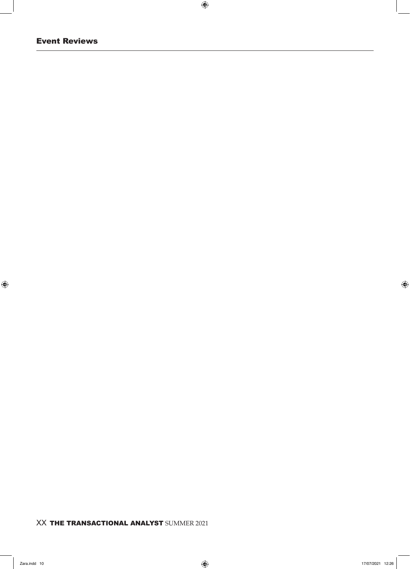# XX THE TRANSACTIONAL ANALYST SUMMER 2021

 $\bigoplus$ 

 $\bigoplus$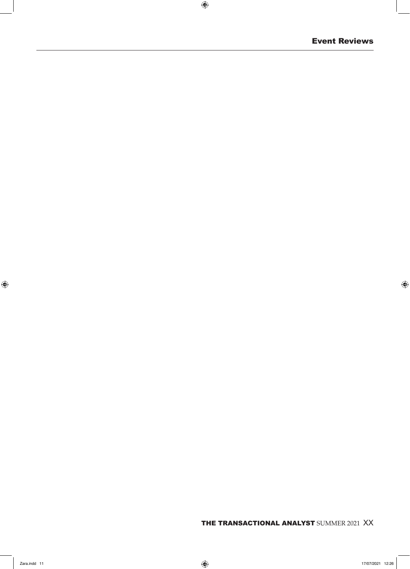### THE TRANSACTIONAL ANALYST SUMMER 2021 XX

 $\bigoplus$ 

 $\bigoplus$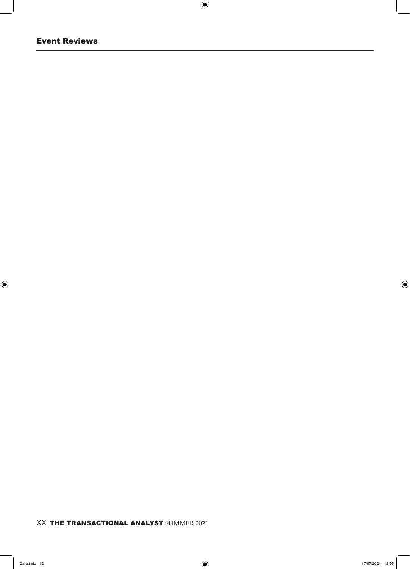# XX THE TRANSACTIONAL ANALYST SUMMER 2021

 $\bigoplus$ 

 $\bigoplus$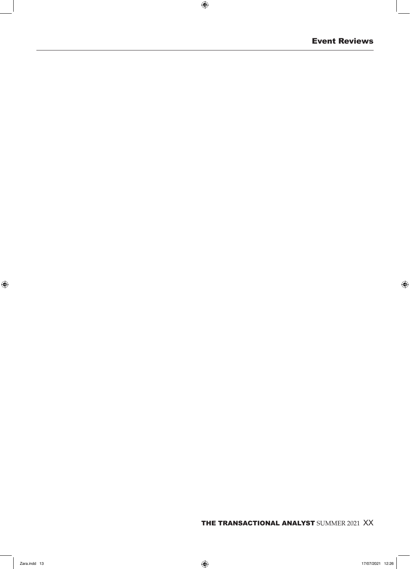### THE TRANSACTIONAL ANALYST SUMMER 2021 XX

 $\bigoplus$ 

 $\bigoplus$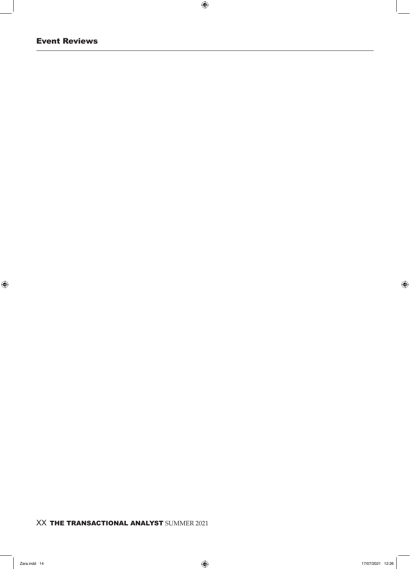# XX THE TRANSACTIONAL ANALYST SUMMER 2021

 $\bigoplus$ 

 $\bigoplus$